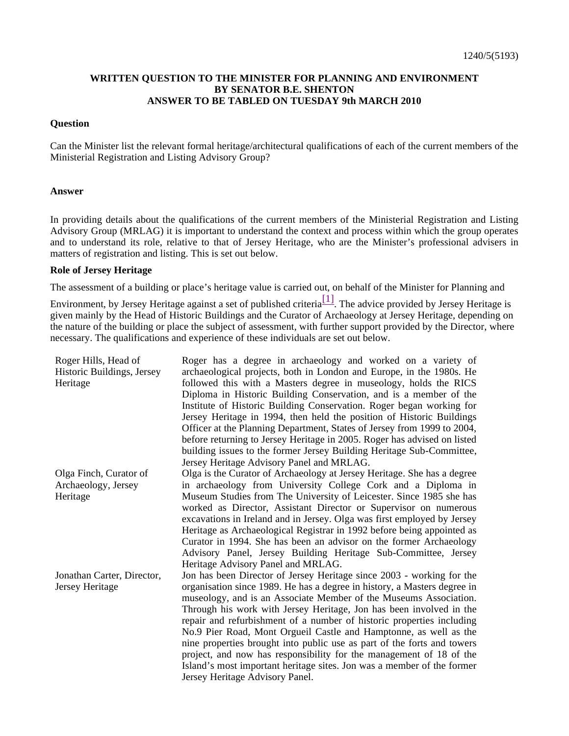# **WRITTEN QUESTION TO THE MINISTER FOR PLANNING AND ENVIRONMENT BY SENATOR B.E. SHENTON ANSWER TO BE TABLED ON TUESDAY 9th MARCH 2010**

#### **Question**

Can the Minister list the relevant formal heritage/architectural qualifications of each of the current members of the Ministerial Registration and Listing Advisory Group?

#### **Answer**

In providing details about the qualifications of the current members of the Ministerial Registration and Listing Advisory Group (MRLAG) it is important to understand the context and process within which the group operates and to understand its role, relative to that of Jersey Heritage, who are the Minister's professional advisers in matters of registration and listing. This is set out below.

### **Role of Jersey Heritage**

The assessment of a building or place's heritage value is carried out, on behalf of the Minister for Planning and

Environment, by Jersey Heritage against a set of published criteria<sup>[1]</sup>. The advice provided by Jersey Heritage is given mainly by the Head of Historic Buildings and the Curator of Archaeology at Jersey Heritage, depending on the nature of the building or place the subject of assessment, with further support provided by the Director, where necessary. The qualifications and experience of these individuals are set out below.

| Roger Hills, Head of<br>Historic Buildings, Jersey<br>Heritage | Roger has a degree in archaeology and worked on a variety of<br>archaeological projects, both in London and Europe, in the 1980s. He<br>followed this with a Masters degree in museology, holds the RICS<br>Diploma in Historic Building Conservation, and is a member of the<br>Institute of Historic Building Conservation. Roger began working for<br>Jersey Heritage in 1994, then held the position of Historic Buildings<br>Officer at the Planning Department, States of Jersey from 1999 to 2004,<br>before returning to Jersey Heritage in 2005. Roger has advised on listed<br>building issues to the former Jersey Building Heritage Sub-Committee,<br>Jersey Heritage Advisory Panel and MRLAG. |
|----------------------------------------------------------------|-------------------------------------------------------------------------------------------------------------------------------------------------------------------------------------------------------------------------------------------------------------------------------------------------------------------------------------------------------------------------------------------------------------------------------------------------------------------------------------------------------------------------------------------------------------------------------------------------------------------------------------------------------------------------------------------------------------|
| Olga Finch, Curator of                                         | Olga is the Curator of Archaeology at Jersey Heritage. She has a degree                                                                                                                                                                                                                                                                                                                                                                                                                                                                                                                                                                                                                                     |
| Archaeology, Jersey                                            | in archaeology from University College Cork and a Diploma in                                                                                                                                                                                                                                                                                                                                                                                                                                                                                                                                                                                                                                                |
| Heritage                                                       | Museum Studies from The University of Leicester. Since 1985 she has                                                                                                                                                                                                                                                                                                                                                                                                                                                                                                                                                                                                                                         |
|                                                                | worked as Director, Assistant Director or Supervisor on numerous<br>excavations in Ireland and in Jersey. Olga was first employed by Jersey<br>Heritage as Archaeological Registrar in 1992 before being appointed as<br>Curator in 1994. She has been an advisor on the former Archaeology<br>Advisory Panel, Jersey Building Heritage Sub-Committee, Jersey<br>Heritage Advisory Panel and MRLAG.                                                                                                                                                                                                                                                                                                         |
| Jonathan Carter, Director,<br>Jersey Heritage                  | Jon has been Director of Jersey Heritage since 2003 - working for the<br>organisation since 1989. He has a degree in history, a Masters degree in<br>museology, and is an Associate Member of the Museums Association.                                                                                                                                                                                                                                                                                                                                                                                                                                                                                      |
|                                                                | Through his work with Jersey Heritage, Jon has been involved in the<br>repair and refurbishment of a number of historic properties including                                                                                                                                                                                                                                                                                                                                                                                                                                                                                                                                                                |
|                                                                | No.9 Pier Road, Mont Orgueil Castle and Hamptonne, as well as the<br>nine properties brought into public use as part of the forts and towers<br>project, and now has responsibility for the management of 18 of the                                                                                                                                                                                                                                                                                                                                                                                                                                                                                         |
|                                                                | Island's most important heritage sites. Jon was a member of the former<br>Jersey Heritage Advisory Panel.                                                                                                                                                                                                                                                                                                                                                                                                                                                                                                                                                                                                   |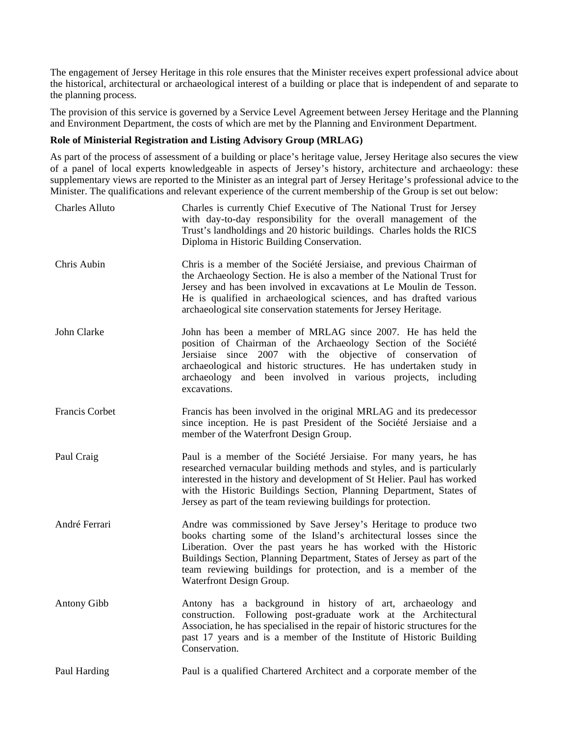The engagement of Jersey Heritage in this role ensures that the Minister receives expert professional advice about the historical, architectural or archaeological interest of a building or place that is independent of and separate to the planning process.

The provision of this service is governed by a Service Level Agreement between Jersey Heritage and the Planning and Environment Department, the costs of which are met by the Planning and Environment Department.

# **Role of Ministerial Registration and Listing Advisory Group (MRLAG)**

As part of the process of assessment of a building or place's heritage value, Jersey Heritage also secures the view of a panel of local experts knowledgeable in aspects of Jersey's history, architecture and archaeology: these supplementary views are reported to the Minister as an integral part of Jersey Heritage's professional advice to the Minister. The qualifications and relevant experience of the current membership of the Group is set out below:

| <b>Charles Alluto</b> | Charles is currently Chief Executive of The National Trust for Jersey<br>with day-to-day responsibility for the overall management of the<br>Trust's landholdings and 20 historic buildings. Charles holds the RICS<br>Diploma in Historic Building Conservation.                                                                                                                  |
|-----------------------|------------------------------------------------------------------------------------------------------------------------------------------------------------------------------------------------------------------------------------------------------------------------------------------------------------------------------------------------------------------------------------|
| Chris Aubin           | Chris is a member of the Société Jersiaise, and previous Chairman of<br>the Archaeology Section. He is also a member of the National Trust for<br>Jersey and has been involved in excavations at Le Moulin de Tesson.<br>He is qualified in archaeological sciences, and has drafted various<br>archaeological site conservation statements for Jersey Heritage.                   |
| John Clarke           | John has been a member of MRLAG since 2007. He has held the<br>position of Chairman of the Archaeology Section of the Société<br>2007 with the<br>objective of conservation of<br>Jersiaise<br>since<br>archaeological and historic structures. He has undertaken study in<br>archaeology and been involved in various projects, including<br>excavations.                         |
| Francis Corbet        | Francis has been involved in the original MRLAG and its predecessor<br>since inception. He is past President of the Société Jersiaise and a<br>member of the Waterfront Design Group.                                                                                                                                                                                              |
| Paul Craig            | Paul is a member of the Société Jersiaise. For many years, he has<br>researched vernacular building methods and styles, and is particularly<br>interested in the history and development of St Helier. Paul has worked<br>with the Historic Buildings Section, Planning Department, States of<br>Jersey as part of the team reviewing buildings for protection.                    |
| André Ferrari         | Andre was commissioned by Save Jersey's Heritage to produce two<br>books charting some of the Island's architectural losses since the<br>Liberation. Over the past years he has worked with the Historic<br>Buildings Section, Planning Department, States of Jersey as part of the<br>team reviewing buildings for protection, and is a member of the<br>Waterfront Design Group. |
| <b>Antony Gibb</b>    | Antony has a background in history of art, archaeology and<br>construction. Following post-graduate work at the Architectural<br>Association, he has specialised in the repair of historic structures for the<br>past 17 years and is a member of the Institute of Historic Building<br>Conservation.                                                                              |
| Paul Harding          | Paul is a qualified Chartered Architect and a corporate member of the                                                                                                                                                                                                                                                                                                              |